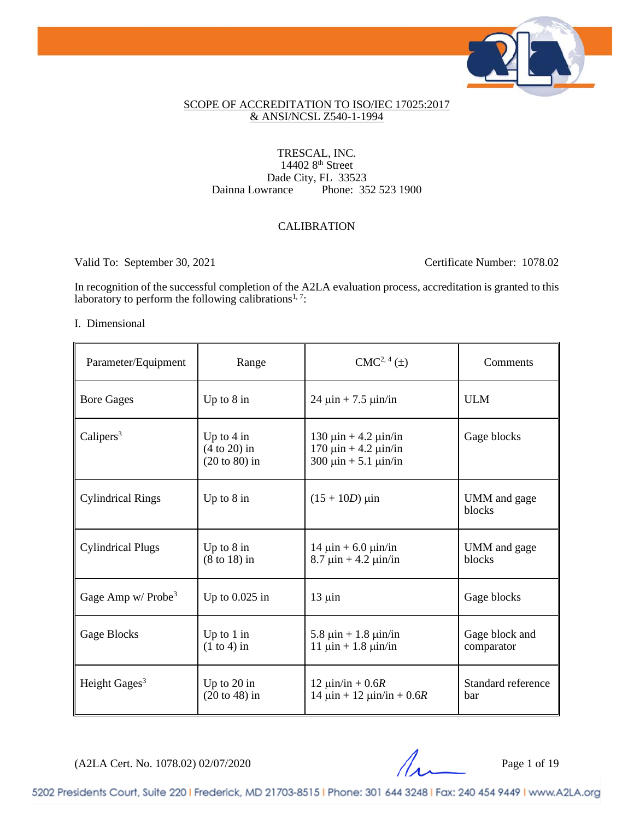

## SCOPE OF ACCREDITATION TO ISO/IEC 17025:2017 & ANSI/NCSL Z540-1-1994

### TRESCAL, INC. 14402 8<sup>th</sup> Street Dainna Lowrance Phone: 35 Phone: 352 523 1900

## CALIBRATION

Valid To: September 30, 2021 Certificate Number: 1078.02

In recognition of the successful completion of the A2LA evaluation process, accreditation is granted to this laboratory to perform the following calibrations<sup>1, 7</sup>:

### I. Dimensional

| Parameter/Equipment              | Range                                                     | $CMC2, 4(\pm)$                                                                                     | Comments                     |
|----------------------------------|-----------------------------------------------------------|----------------------------------------------------------------------------------------------------|------------------------------|
| <b>Bore Gages</b>                | Up to $8$ in                                              | $24 \mu$ in + 7.5 $\mu$ in/in                                                                      | <b>ULM</b>                   |
| Calipers $3$                     | Up to $4 \text{ in}$<br>$(4 to 20)$ in<br>$(20 to 80)$ in | $130 \mu$ in + 4.2 $\mu$ in/in<br>$170 \mu$ in + 4.2 $\mu$ in/in<br>300 $\mu$ in + 5.1 $\mu$ in/in | Gage blocks                  |
| <b>Cylindrical Rings</b>         | Up to $8$ in                                              | $(15 + 10D)$ µin                                                                                   | UMM and gage<br>blocks       |
| <b>Cylindrical Plugs</b>         | Up to $8$ in<br>$(8 \text{ to } 18)$ in                   | $14 \mu$ in + 6.0 $\mu$ in/in<br>$8.7 \,\text{µin} + 4.2 \,\text{µin/in}$                          | UMM and gage<br>blocks       |
| Gage Amp $w/$ Probe <sup>3</sup> | Up to $0.025$ in                                          | $13 \mu$ in                                                                                        | Gage blocks                  |
| Gage Blocks                      | Up to $1$ in<br>$(1 to 4)$ in                             | 5.8 $\mu$ in + 1.8 $\mu$ in/in<br>$11 \mu$ in + 1.8 $\mu$ in/in                                    | Gage block and<br>comparator |
| Height Gages <sup>3</sup>        | Up to $20$ in<br>$(20 to 48)$ in                          | $12 \text{ } \mu \text{in/in} + 0.6R$<br>$14 \mu$ in + $12 \mu$ in/in + 0.6R                       | Standard reference<br>bar    |

(A2LA Cert. No. 1078.02) 02/07/2020 Page 1 of 19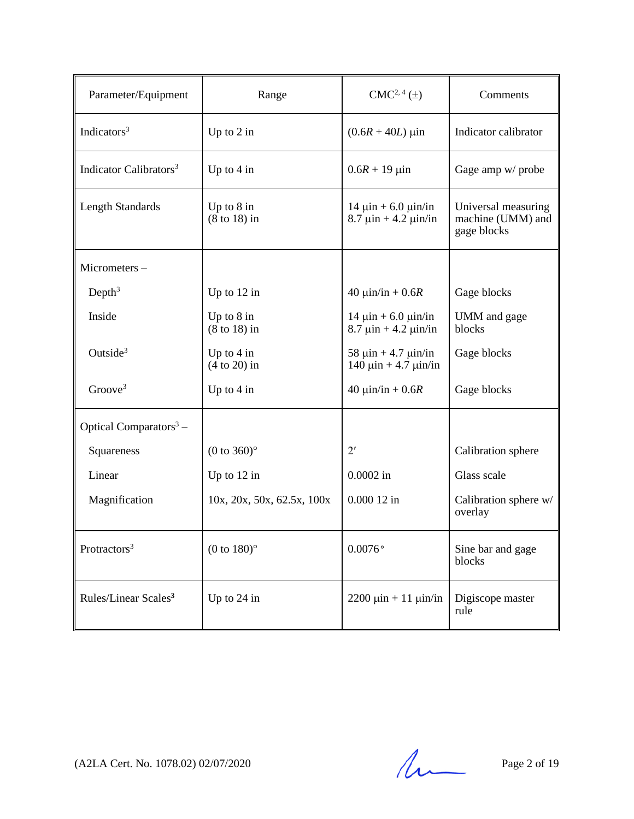| Parameter/Equipment                | Range                                    | $CMC2, 4(\pm)$                                                            | Comments                                                |
|------------------------------------|------------------------------------------|---------------------------------------------------------------------------|---------------------------------------------------------|
| Indicators <sup>3</sup>            | Up to $2$ in                             | $(0.6R + 40L) \,\mu$ in                                                   | Indicator calibrator                                    |
| Indicator Calibrators <sup>3</sup> | Up to $4$ in                             | $0.6R + 19 \mu$ in                                                        | Gage amp w/ probe                                       |
| <b>Length Standards</b>            | Up to $8$ in<br>$(8 \text{ to } 18)$ in  | $14 \mu$ in + 6.0 $\mu$ in/in<br>$8.7 \,\text{µin} + 4.2 \,\text{µin/in}$ | Universal measuring<br>machine (UMM) and<br>gage blocks |
| Micrometers-                       |                                          |                                                                           |                                                         |
| Depth <sup>3</sup>                 | Up to $12$ in                            | 40 $\mu$ in/in + 0.6 <i>R</i>                                             | Gage blocks                                             |
| Inside                             | Up to $8$ in<br>$(8 \text{ to } 18)$ in  | $14 \mu$ in + 6.0 $\mu$ in/in<br>$8.7 \,\text{µin} + 4.2 \,\text{µin/in}$ | UMM and gage<br>blocks                                  |
| Outside <sup>3</sup>               | Up to $4$ in<br>$(4 to 20)$ in           | 58 $\mu$ in + 4.7 $\mu$ in/in<br>$140 \mu$ in + 4.7 $\mu$ in/in           | Gage blocks                                             |
| Groove <sup>3</sup>                | Up to $4$ in                             | 40 $\mu$ in/in + 0.6 <i>R</i>                                             | Gage blocks                                             |
| Optical Comparators $3 -$          |                                          |                                                                           |                                                         |
| Squareness                         | $(0 \text{ to } 360)$ °                  | $2^{\prime}$                                                              | Calibration sphere                                      |
| Linear                             | Up to $12$ in                            | $0.0002$ in                                                               | Glass scale                                             |
| Magnification                      | $10x$ , $20x$ , $50x$ , $62.5x$ , $100x$ | $0.00012$ in                                                              | Calibration sphere w/<br>overlay                        |
| Protractors <sup>3</sup>           | $(0 \text{ to } 180)$ °                  | $0.0076$ °                                                                | Sine bar and gage<br>blocks                             |
| Rules/Linear Scales <sup>3</sup>   | Up to 24 in                              | $2200 \mu \text{in} + 11 \mu \text{in/in}$                                | Digiscope master<br>rule                                |

(A2LA Cert. No. 1078.02) 02/07/2020 Page 2 of 19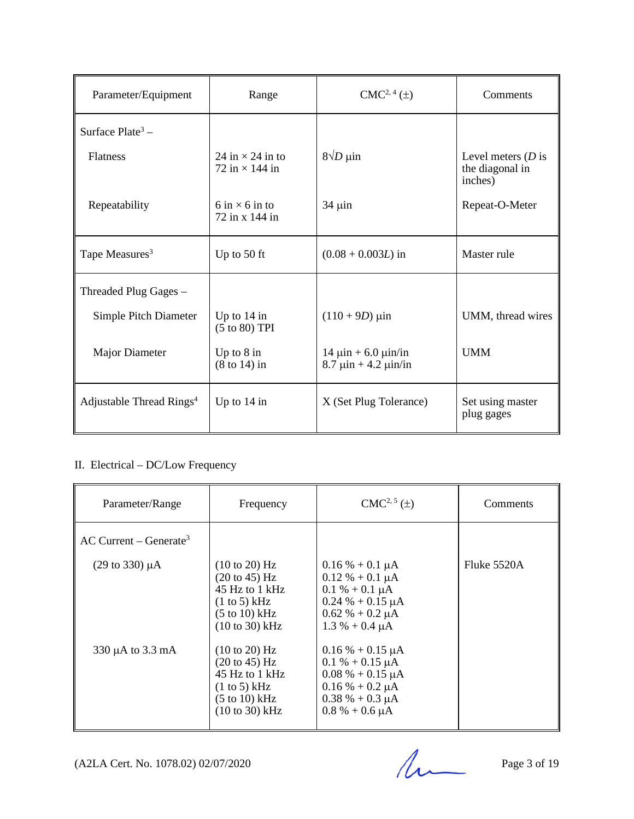| Parameter/Equipment                  | Range                                                            | $CMC2, 4(\pm)$                                                            | Comments                                            |
|--------------------------------------|------------------------------------------------------------------|---------------------------------------------------------------------------|-----------------------------------------------------|
| Surface Plate <sup>3</sup> –         |                                                                  |                                                                           |                                                     |
| <b>Flatness</b>                      | 24 in $\times$ 24 in to<br>72 in $\times$ 144 in                 | $8\sqrt{D}$ µin                                                           | Level meters $(D)$ is<br>the diagonal in<br>inches) |
| Repeatability                        | $6 \text{ in } \times 6 \text{ in } \text{to}$<br>72 in x 144 in | $34 \mu$ in                                                               | Repeat-O-Meter                                      |
| Tape Measures <sup>3</sup>           | Up to 50 ft                                                      | $(0.08 + 0.003L)$ in                                                      | Master rule                                         |
| Threaded Plug Gages -                |                                                                  |                                                                           |                                                     |
| Simple Pitch Diameter                | Up to $14$ in<br>(5 to 80) TPI                                   | $(110 + 9D) \mu$ in                                                       | UMM, thread wires                                   |
| <b>Major Diameter</b>                | Up to $8$ in<br>$(8 \text{ to } 14)$ in                          | $14 \mu$ in + 6.0 $\mu$ in/in<br>$8.7 \,\text{µin} + 4.2 \,\text{µin/in}$ | <b>UMM</b>                                          |
| Adjustable Thread Rings <sup>4</sup> | Up to $14$ in                                                    | X (Set Plug Tolerance)                                                    | Set using master<br>plug gages                      |

# II. Electrical – DC/Low Frequency

| Parameter/Range                      | Frequency                                                                                                                                                                          | $CMC2, 5(\pm)$                                                                                                                                | <b>Comments</b> |
|--------------------------------------|------------------------------------------------------------------------------------------------------------------------------------------------------------------------------------|-----------------------------------------------------------------------------------------------------------------------------------------------|-----------------|
| $AC$ Current – Generate <sup>3</sup> |                                                                                                                                                                                    |                                                                                                                                               |                 |
| $(29 \text{ to } 330) \mu\text{A}$   | $(10 \text{ to } 20)$ Hz<br>$(20 \text{ to } 45) \text{ Hz}$<br>45 Hz to 1 kHz<br>(1 to 5) kHz<br>$(5 \text{ to } 10) \text{ kHz}$<br>$(10 to 30)$ kHz                             | $0.16\% + 0.1 \mu A$<br>$0.12 % + 0.1 \mu A$<br>$0.1 % + 0.1 \mu A$<br>$0.24 % + 0.15 \mu A$<br>$0.62 \% + 0.2 \mu A$<br>$1.3 % + 0.4 \mu A$  | Fluke $5520A$   |
| 330 µA to 3.3 mA                     | $(10 \text{ to } 20)$ Hz<br>$(20 \text{ to } 45) \text{ Hz}$<br>45 Hz to 1 kHz<br>$(1 \text{ to } 5)$ kHz<br>$(5 \text{ to } 10) \text{ kHz}$<br>$(10 \text{ to } 30) \text{ kHz}$ | $0.16\% + 0.15 \mu A$<br>$0.1\% + 0.15 \mu A$<br>$0.08\% + 0.15 \mu A$<br>$0.16\% + 0.2 \mu A$<br>$0.38\% + 0.3 \mu A$<br>$0.8\% + 0.6 \mu A$ |                 |

(A2LA Cert. No. 1078.02) 02/07/2020 Page 3 of 19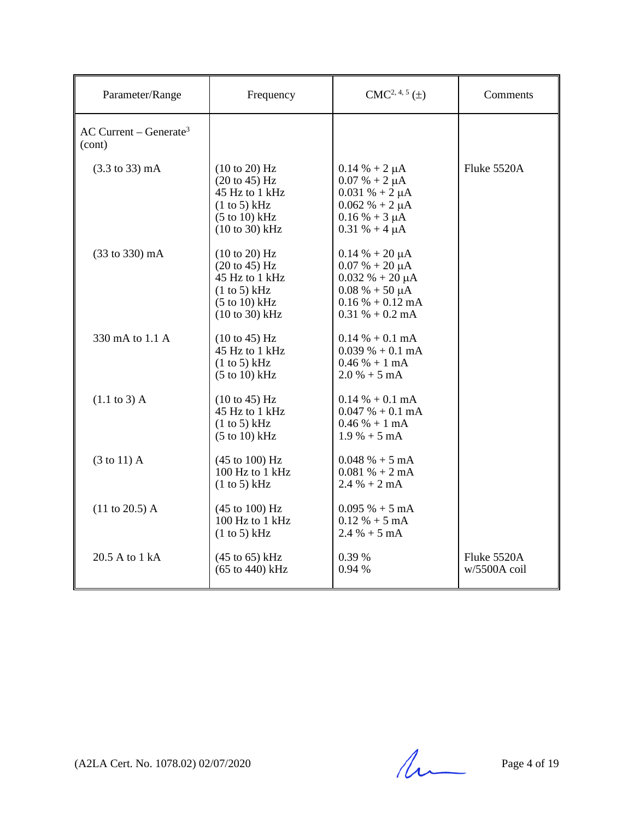| Parameter/Range                                | Frequency                                                                                                                     | $CMC2, 4, 5(\pm)$                                                                                                                                     | Comments                    |
|------------------------------------------------|-------------------------------------------------------------------------------------------------------------------------------|-------------------------------------------------------------------------------------------------------------------------------------------------------|-----------------------------|
| $AC$ Current – Generate <sup>3</sup><br>(cont) |                                                                                                                               |                                                                                                                                                       |                             |
| $(3.3 \text{ to } 33) \text{ mA}$              | $(10 \text{ to } 20)$ Hz<br>$(20 \text{ to } 45)$ Hz<br>45 Hz to 1 kHz<br>(1 to 5) kHz<br>$(5 to 10)$ kHz<br>$(10 to 30)$ kHz | $0.14 \% + 2 \mu A$<br>$0.07 % + 2 \mu A$<br>$0.031 \% + 2 \mu A$<br>$0.062 \% + 2 \mu A$<br>$0.16\% + 3 \mu A$<br>$0.31 \% + 4 \mu A$                | Fluke 5520A                 |
| (33 to 330) mA                                 | (10 to 20) Hz<br>(20 to 45) Hz<br>45 Hz to 1 kHz<br>(1 to 5) kHz<br>$(5 \text{ to } 10) \text{ kHz}$<br>$(10 to 30)$ kHz      | $0.14 % + 20 \mu A$<br>$0.07 % + 20 \mu A$<br>$0.032 \% + 20 \mu A$<br>$0.08\% + 50 \mu A$<br>$0.16\% + 0.12 \text{ mA}$<br>$0.31\% + 0.2 \text{ mA}$ |                             |
| 330 mA to 1.1 A                                | $(10 \text{ to } 45)$ Hz<br>45 Hz to 1 kHz<br>(1 to 5) kHz<br>$(5 to 10)$ kHz                                                 | $0.14\% + 0.1 \text{ mA}$<br>$0.039\% + 0.1 \text{ mA}$<br>$0.46% + 1 mA$<br>$2.0% + 5mA$                                                             |                             |
| $(1.1 \text{ to } 3)$ A                        | $(10 \text{ to } 45)$ Hz<br>45 Hz to 1 kHz<br>(1 to 5) kHz<br>$(5 \text{ to } 10) \text{ kHz}$                                | $0.14\% + 0.1 \text{ mA}$<br>$0.047 \% + 0.1 mA$<br>$0.46% + 1 mA$<br>$1.9\% + 5 \text{ mA}$                                                          |                             |
| $(3 \text{ to } 11)$ A                         | (45 to 100) Hz<br>100 Hz to 1 kHz<br>(1 to 5) kHz                                                                             | $0.048 \% + 5 mA$<br>$0.081\% + 2mA$<br>$2.4% + 2mA$                                                                                                  |                             |
| $(11 \text{ to } 20.5)$ A                      | $(45 \text{ to } 100) \text{ Hz}$<br>100 Hz to 1 kHz<br>(1 to 5) kHz                                                          | $0.095% + 5mA$<br>$0.12 \% + 5 mA$<br>$2.4 % + 5 mA$                                                                                                  |                             |
| 20.5 A to 1 kA                                 | $(45 \text{ to } 65) \text{ kHz}$<br>$(65$ to $440)$ kHz                                                                      | 0.39 %<br>0.94 %                                                                                                                                      | Fluke 5520A<br>w/5500A coil |

 $(A2LA$  Cert. No. 1078.02) 02/07/2020 Page 4 of 19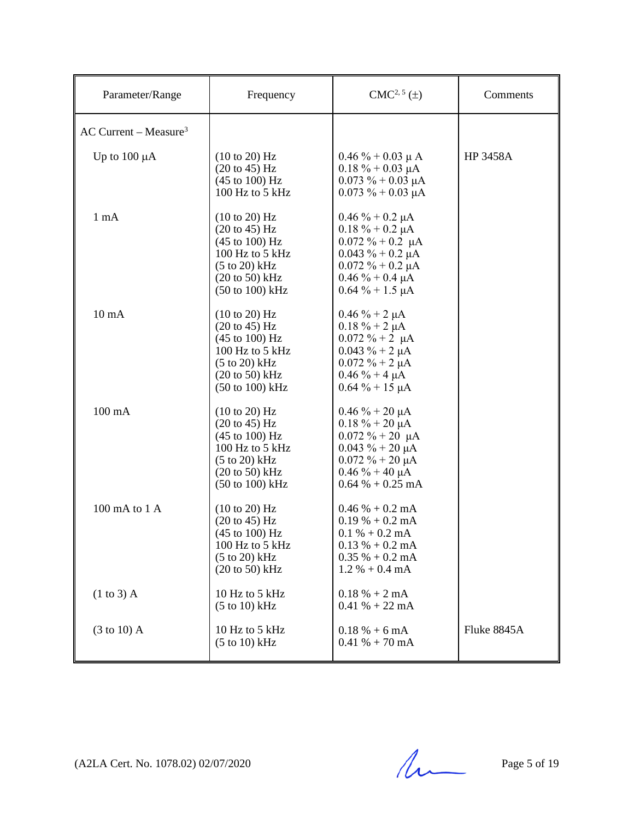| Parameter/Range                     | Frequency                                                                                                                                                                                                                  | $CMC2, 5(\pm)$                                                                                                                                                                | Comments        |
|-------------------------------------|----------------------------------------------------------------------------------------------------------------------------------------------------------------------------------------------------------------------------|-------------------------------------------------------------------------------------------------------------------------------------------------------------------------------|-----------------|
| $AC$ Current – Measure <sup>3</sup> |                                                                                                                                                                                                                            |                                                                                                                                                                               |                 |
| Up to $100 \mu A$                   | $(10 \text{ to } 20)$ Hz<br>$(20 \text{ to } 45) \text{ Hz}$<br>(45 to 100) Hz<br>100 Hz to 5 kHz                                                                                                                          | $0.46\% + 0.03 \mu A$<br>$0.18 \% + 0.03 \mu A$<br>$0.073 \% + 0.03 \mu A$<br>$0.073 \% + 0.03 \mu A$                                                                         | <b>HP 3458A</b> |
| $1 \text{ mA}$                      | $(10 \text{ to } 20)$ Hz<br>$(20 \text{ to } 45) \text{ Hz}$<br>$(45 \text{ to } 100) \text{ Hz}$<br>100 Hz to 5 kHz<br>$(5 to 20)$ kHz<br>$(20 \text{ to } 50)$ kHz<br>$(50 \text{ to } 100) \text{ kHz}$                 | $0.46 \% + 0.2 \mu A$<br>$0.18 \% + 0.2 \mu A$<br>$0.072 \% + 0.2 \mu A$<br>$0.043 \% + 0.2 \mu A$<br>$0.072 \% + 0.2 \mu A$<br>$0.46 \% + 0.4 \mu A$<br>$0.64\% + 1.5 \mu A$ |                 |
| $10 \text{ mA}$                     | (10 to 20) Hz<br>$(20 \text{ to } 45)$ Hz<br>$(45 \text{ to } 100) \text{ Hz}$<br>100 Hz to 5 kHz<br>$(5 to 20)$ kHz<br>$(20 \text{ to } 50)$ kHz<br>$(50 \text{ to } 100) \text{ kHz}$                                    | $0.46 \% + 2 \mu A$<br>$0.18 \% + 2 \mu A$<br>$0.072 \% + 2 \mu A$<br>$0.043 \% + 2 \mu A$<br>$0.072 \% + 2 \mu A$<br>$0.46 \% + 4 \mu A$<br>$0.64 \% + 15 \mu A$             |                 |
| $100 \text{ mA}$                    | (10 to 20) Hz<br>$(20 \text{ to } 45) \text{ Hz}$<br>$(45 \text{ to } 100) \text{ Hz}$<br>$100$ Hz to 5 kHz<br>$(5 \text{ to } 20) \text{ kHz}$<br>$(20 \text{ to } 50) \text{ kHz}$<br>$(50 \text{ to } 100) \text{ kHz}$ | $0.46 \% + 20 \mu A$<br>$0.18 \% + 20 \mu A$<br>$0.072 \% + 20 \mu A$<br>$0.043 \% + 20 \mu A$<br>$0.072 \% + 20 \mu A$<br>$0.46 \% + 40 \mu A$<br>$0.64\% + 0.25 \text{ mA}$ |                 |
| $100 \text{ mA}$ to $1 \text{ A}$   | (10 to 20) Hz<br>$(20 \text{ to } 45)$ Hz<br>$(45 \text{ to } 100) \text{ Hz}$<br>100 Hz to 5 kHz<br>$(5 to 20)$ kHz<br>$(20 \text{ to } 50)$ kHz                                                                          | $0.46\% + 0.2 \text{ mA}$<br>$0.19\% + 0.2 \text{ mA}$<br>$0.1 % + 0.2 mA$<br>$0.13 % + 0.2 mA$<br>$0.35\% + 0.2 \text{ mA}$<br>$1.2 % + 0.4 mA$                              |                 |
| $(1 to 3)$ A                        | 10 Hz to 5 kHz<br>$(5 \text{ to } 10) \text{ kHz}$                                                                                                                                                                         | $0.18 % + 2 mA$<br>$0.41\% + 22 \text{ mA}$                                                                                                                                   |                 |
| $(3 \text{ to } 10)$ A              | 10 Hz to 5 kHz<br>$(5 to 10)$ kHz                                                                                                                                                                                          | $0.18 \% + 6 mA$<br>$0.41\% + 70 \text{ mA}$                                                                                                                                  | Fluke 8845A     |

(A2LA Cert. No. 1078.02) 02/07/2020 Page 5 of 19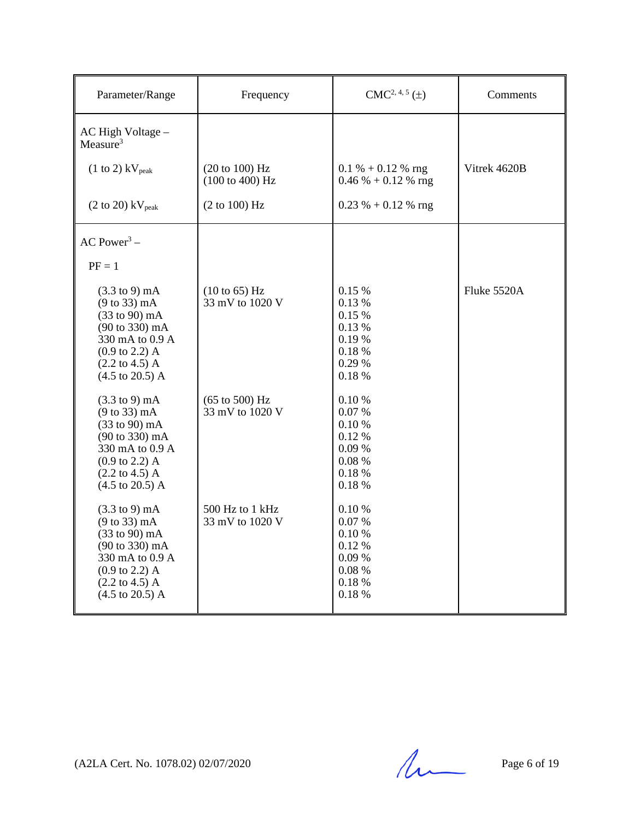| Parameter/Range                                                                                                                                                                                                                                                         | Frequency                                            | $CMC2, 4, 5(\pm)$                                                       | Comments     |
|-------------------------------------------------------------------------------------------------------------------------------------------------------------------------------------------------------------------------------------------------------------------------|------------------------------------------------------|-------------------------------------------------------------------------|--------------|
| AC High Voltage -<br>Measure <sup>3</sup>                                                                                                                                                                                                                               |                                                      |                                                                         |              |
| $(1 \text{ to } 2)$ kV <sub>peak</sub>                                                                                                                                                                                                                                  | (20 to 100) Hz<br>(100 to 400) Hz                    | $0.1\% + 0.12\%$ rng<br>$0.46\% + 0.12\%$ rng                           | Vitrek 4620B |
| $(2 \text{ to } 20)$ kV <sub>peak</sub>                                                                                                                                                                                                                                 | (2 to 100) Hz                                        | $0.23 \% + 0.12 \%$ rng                                                 |              |
| AC Power <sup>3</sup> –                                                                                                                                                                                                                                                 |                                                      |                                                                         |              |
| $PF = 1$                                                                                                                                                                                                                                                                |                                                      |                                                                         |              |
| $(3.3 \text{ to } 9) \text{ mA}$<br>$(9 \text{ to } 33) \text{ mA}$<br>$(33 \text{ to } 90) \text{ mA}$<br>$(90 \text{ to } 330) \text{ mA}$<br>330 mA to 0.9 A<br>$(0.9 \text{ to } 2.2)$ A<br>$(2.2 \text{ to } 4.5) \text{ A}$<br>$(4.5 \text{ to } 20.5) \text{ A}$ | $(10 \text{ to } 65)$ Hz<br>33 mV to 1020 V          | 0.15%<br>0.13 %<br>0.15%<br>0.13 %<br>0.19%<br>0.18%<br>0.29 %<br>0.18% | Fluke 5520A  |
| $(3.3 \text{ to } 9) \text{ mA}$<br>$(9 \text{ to } 33) \text{ mA}$<br>$(33 \text{ to } 90) \text{ mA}$<br>$(90 \text{ to } 330) \text{ mA}$<br>330 mA to 0.9 A<br>$(0.9 \text{ to } 2.2)$ A<br>$(2.2 \text{ to } 4.5) \text{ A}$<br>$(4.5 \text{ to } 20.5) \text{ A}$ | $(65 \text{ to } 500) \text{ Hz}$<br>33 mV to 1020 V | 0.10%<br>0.07%<br>0.10 %<br>0.12%<br>0.09%<br>0.08%<br>0.18%<br>0.18%   |              |
| $(3.3 \text{ to } 9) \text{ mA}$<br>$(9 \text{ to } 33) \text{ mA}$<br>$(33 \text{ to } 90) \text{ mA}$<br>(90 to 330) mA<br>330 mA to 0.9 A<br>$(0.9 \text{ to } 2.2)$ A<br>$(2.2 \text{ to } 4.5) \text{ A}$<br>$(4.5 \text{ to } 20.5) \text{ A}$                    | 500 Hz to 1 kHz<br>33 mV to 1020 V                   | 0.10%<br>0.07%<br>0.10 %<br>0.12%<br>0.09%<br>0.08%<br>0.18%<br>0.18%   |              |

(A2LA Cert. No. 1078.02) 02/07/2020 Page 6 of 19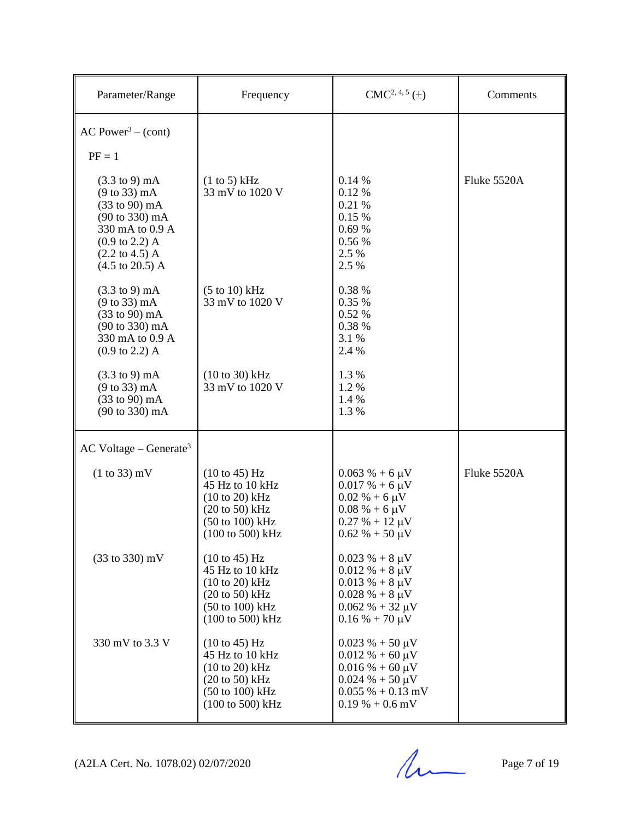| Parameter/Range                                                                                                                                                                                                                                                         | Frequency                                                                                                                                                                         | $CMC2, 4, 5(\pm)$                                                                                                                            | Comments    |
|-------------------------------------------------------------------------------------------------------------------------------------------------------------------------------------------------------------------------------------------------------------------------|-----------------------------------------------------------------------------------------------------------------------------------------------------------------------------------|----------------------------------------------------------------------------------------------------------------------------------------------|-------------|
| $AC Power3 - (cont)$<br>$PF = 1$                                                                                                                                                                                                                                        |                                                                                                                                                                                   |                                                                                                                                              |             |
| $(3.3 \text{ to } 9) \text{ mA}$<br>$(9 \text{ to } 33) \text{ mA}$<br>$(33 \text{ to } 90) \text{ mA}$<br>$(90 \text{ to } 330) \text{ mA}$<br>330 mA to 0.9 A<br>$(0.9 \text{ to } 2.2)$ A<br>$(2.2 \text{ to } 4.5) \text{ A}$<br>$(4.5 \text{ to } 20.5) \text{ A}$ | (1 to 5) kHz<br>33 mV to 1020 V                                                                                                                                                   | 0.14%<br>0.12 %<br>0.21 %<br>0.15 %<br>0.69%<br>0.56 %<br>2.5 %<br>2.5 %                                                                     | Fluke 5520A |
| $(3.3 \text{ to } 9) \text{ mA}$<br>$(9 \text{ to } 33) \text{ mA}$<br>$(33 \text{ to } 90) \text{ mA}$<br>$(90 \text{ to } 330) \text{ mA}$<br>330 mA to 0.9 A<br>$(0.9 \text{ to } 2.2)$ A                                                                            | $(5 to 10)$ kHz<br>33 mV to 1020 V                                                                                                                                                | 0.38 %<br>0.35 %<br>0.52 %<br>0.38 %<br>3.1 %<br>2.4 %                                                                                       |             |
| $(3.3 \text{ to } 9) \text{ mA}$<br>$(9 \text{ to } 33) \text{ mA}$<br>$(33 \text{ to } 90) \text{ mA}$<br>(90 to 330) mA                                                                                                                                               | $(10 to 30)$ kHz<br>33 mV to 1020 V                                                                                                                                               | 1.3%<br>1.2%<br>1.4 %<br>1.3%                                                                                                                |             |
| $AC$ Voltage – Generate <sup>3</sup>                                                                                                                                                                                                                                    |                                                                                                                                                                                   |                                                                                                                                              |             |
| $(1 to 33)$ mV                                                                                                                                                                                                                                                          | $(10 \text{ to } 45)$ Hz<br>45 Hz to 10 kHz<br>$(10 \text{ to } 20) \text{ kHz}$<br>$(20 \text{ to } 50)$ kHz<br>(50 to 100) kHz<br>$(100 \text{ to } 500) \text{ kHz}$           | $0.063 \% + 6 \mu V$<br>$0.017% + 6 \mu V$<br>$0.02\% + 6 \mu V$<br>$0.08\% + 6 \mu V$<br>$0.27 % + 12 \mu V$<br>$0.62 \% + 50 \mu V$        | Fluke 5520A |
| (33 to 330) mV                                                                                                                                                                                                                                                          | $(10 \text{ to } 45) \text{ Hz}$<br>45 Hz to 10 kHz<br>$(10 to 20)$ kHz<br>$(20 \text{ to } 50)$ kHz<br>$(50 \text{ to } 100) \text{ kHz}$<br>$(100 \text{ to } 500) \text{ kHz}$ | $0.023 \% + 8 \mu V$<br>$0.012 \% + 8 \mu V$<br>$0.013 \% + 8 \mu V$<br>$0.028 \% + 8 \mu V$<br>$0.062 \% + 32 \mu V$<br>$0.16 % + 70 \mu V$ |             |
| 330 mV to 3.3 V                                                                                                                                                                                                                                                         | $(10 \text{ to } 45)$ Hz<br>45 Hz to 10 kHz<br>$(10 to 20)$ kHz<br>$(20 \text{ to } 50)$ kHz<br>$(50 \text{ to } 100) \text{ kHz}$<br>$(100 \text{ to } 500) \text{ kHz}$         | $0.023 \% + 50 \mu V$<br>$0.012 \% + 60 \mu V$<br>$0.016\% + 60 \mu V$<br>$0.024 \% + 50 \mu V$<br>$0.055\% + 0.13$ mV<br>$0.19\% + 0.6$ mV  |             |

(A2LA Cert. No. 1078.02) 02/07/2020 Page 7 of 19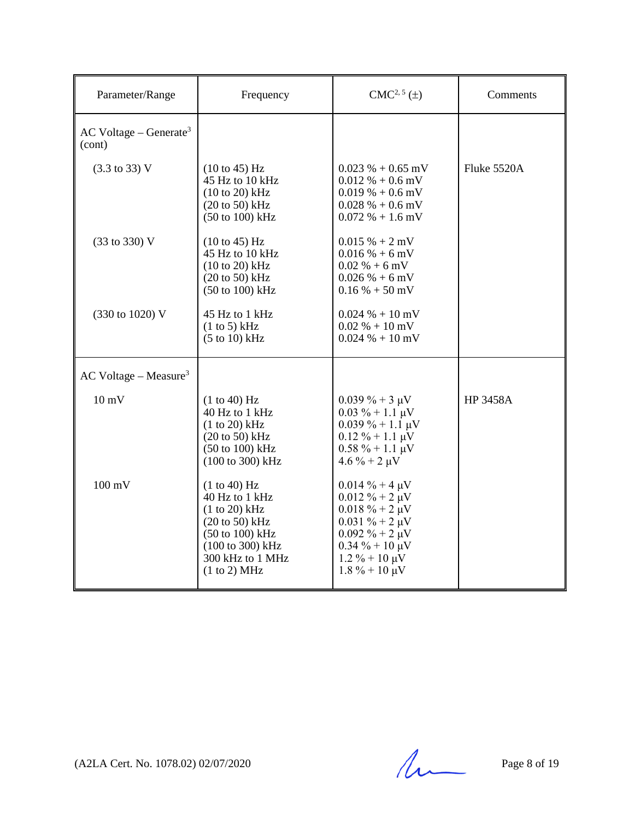| Parameter/Range                                | Frequency                                                                                                                                                 | $CMC2, 5(\pm)$                                                                                                                                                                                   | Comments        |
|------------------------------------------------|-----------------------------------------------------------------------------------------------------------------------------------------------------------|--------------------------------------------------------------------------------------------------------------------------------------------------------------------------------------------------|-----------------|
| $AC$ Voltage – Generate <sup>3</sup><br>(cont) |                                                                                                                                                           |                                                                                                                                                                                                  |                 |
| $(3.3 \text{ to } 33) \text{ V}$               | $(10 \text{ to } 45)$ Hz<br>45 Hz to 10 kHz<br>$(10 to 20)$ kHz<br>$(20 \text{ to } 50)$ kHz<br>(50 to 100) kHz                                           | $0.023\% + 0.65$ mV<br>$0.012 \% + 0.6$ mV<br>$0.019\% + 0.6$ mV<br>$0.028\% + 0.6$ mV<br>$0.072\% + 1.6$ mV                                                                                     | Fluke 5520A     |
| (33 to 330) V                                  | (10 to 45) Hz<br>45 Hz to 10 kHz<br>$(10 to 20)$ kHz<br>$(20 \text{ to } 50)$ kHz<br>(50 to 100) kHz                                                      | $0.015% + 2mV$<br>$0.016\% + 6$ mV<br>$0.02\% + 6$ mV<br>$0.026 % + 6 mV$<br>$0.16\% + 50$ mV                                                                                                    |                 |
| (330 to 1020) V                                | 45 Hz to 1 kHz<br>(1 to 5) kHz<br>$(5 \text{ to } 10) \text{ kHz}$                                                                                        | $0.024 % + 10 mV$<br>$0.02\% + 10\,\text{mV}$<br>$0.024 \% + 10$ mV                                                                                                                              |                 |
| $AC$ Voltage – Measure <sup>3</sup>            |                                                                                                                                                           |                                                                                                                                                                                                  |                 |
| $10 \text{ mV}$                                | (1 to 40) Hz<br>40 Hz to 1 kHz<br>$(1 to 20)$ kHz<br>$(20 \text{ to } 50)$ kHz<br>(50 to 100) kHz<br>(100 to 300) kHz                                     | $0.039\% + 3 \mu V$<br>$0.03 \% + 1.1 \mu V$<br>$0.039\% + 1.1 \mu V$<br>$0.12 \% + 1.1 \mu V$<br>$0.58 \% + 1.1 \mu V$<br>$4.6 \% + 2 \mu V$                                                    | <b>HP 3458A</b> |
| $100 \text{ mV}$                               | (1 to 40) Hz<br>40 Hz to 1 kHz<br>$(1 to 20)$ kHz<br>$(20 \text{ to } 50)$ kHz<br>(50 to 100) kHz<br>(100 to 300) kHz<br>300 kHz to 1 MHz<br>(1 to 2) MHz | $0.014 \% + 4 \mu V$<br>$0.012 \% + 2 \mu V$<br>$0.018 \% + 2 \mu V$<br>$0.031 \% + 2 \mu V$<br>$0.092 \% + 2 \mu V$<br>$0.34 \% + 10 \mu V$<br>$1.2\% + 10 \mu V$<br>$1.8\% + 10 \,\mu\text{V}$ |                 |

(A2LA Cert. No. 1078.02) 02/07/2020 Page 8 of 19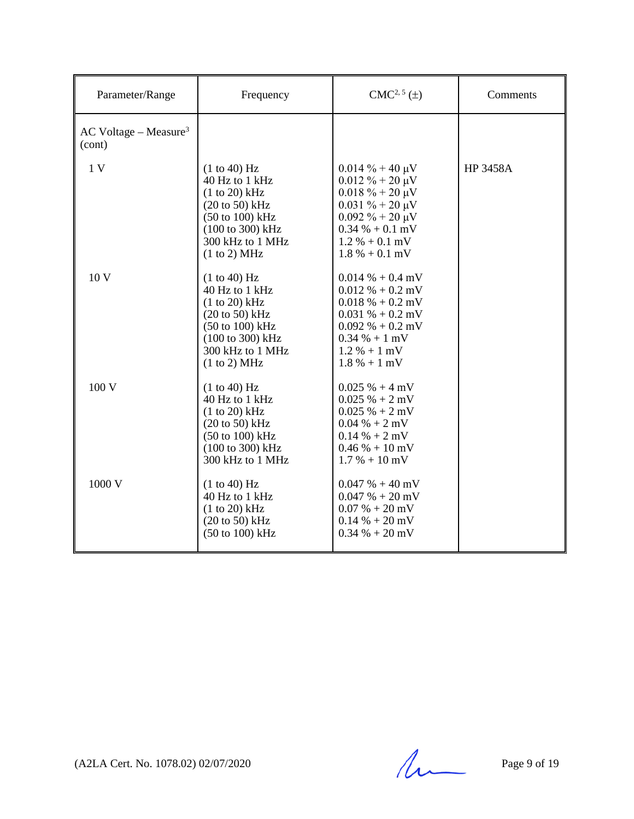| Parameter/Range                               | Frequency                                                                                                                                                                    | $CMC2, 5(\pm)$                                                                                                                                                                        | Comments        |
|-----------------------------------------------|------------------------------------------------------------------------------------------------------------------------------------------------------------------------------|---------------------------------------------------------------------------------------------------------------------------------------------------------------------------------------|-----------------|
| $AC$ Voltage – Measure <sup>3</sup><br>(cont) |                                                                                                                                                                              |                                                                                                                                                                                       |                 |
| 1 <sub>V</sub>                                | (1 to 40) Hz<br>40 Hz to 1 kHz<br>$(1 to 20)$ kHz<br>$(20 \text{ to } 50)$ kHz<br>$(50 \text{ to } 100) \text{ kHz}$<br>(100 to 300) kHz<br>300 kHz to 1 MHz<br>(1 to 2) MHz | $0.014\% + 40 \mu V$<br>$0.012 \% + 20 \mu V$<br>$0.018 \% + 20 \mu V$<br>$0.031 \% + 20 \mu V$<br>$0.092 \% + 20 \mu V$<br>$0.34 % + 0.1 mV$<br>$1.2 % + 0.1 mV$<br>$1.8\% + 0.1$ mV | <b>HP 3458A</b> |
| 10 V                                          | (1 to 40) Hz<br>40 Hz to 1 kHz<br>$(1 to 20)$ kHz<br>$(20 \text{ to } 50)$ kHz<br>$(50 \text{ to } 100) \text{ kHz}$<br>(100 to 300) kHz<br>300 kHz to 1 MHz<br>(1 to 2) MHz | $0.014\% + 0.4$ mV<br>$0.012\% + 0.2$ mV<br>$0.018\% + 0.2$ mV<br>$0.031\% + 0.2$ mV<br>$0.092\% + 0.2 \text{ mV}$<br>$0.34 % + 1 mV$<br>$1.2 % + 1 mV$<br>$1.8 \% + 1 mV$            |                 |
| 100 V                                         | (1 to 40) Hz<br>40 Hz to 1 kHz<br>$(1 to 20)$ kHz<br>$(20 \text{ to } 50)$ kHz<br>(50 to 100) kHz<br>(100 to 300) kHz<br>300 kHz to 1 MHz                                    | $0.025% + 4mV$<br>$0.025% + 2mV$<br>$0.025% + 2mV$<br>$0.04 % + 2 mV$<br>$0.14 % + 2 mV$<br>$0.46\% + 10\,\text{mV}$<br>$1.7\% + 10\,\mathrm{mV}$                                     |                 |
| 1000 V                                        | (1 to 40) Hz<br>40 Hz to 1 kHz<br>$(1 to 20)$ kHz<br>$(20 \text{ to } 50)$ kHz<br>$(50 \text{ to } 100) \text{ kHz}$                                                         | $0.047 \% + 40 mV$<br>$0.047 % + 20 mV$<br>$0.07 % + 20 mV$<br>$0.14\% + 20\,\text{mV}$<br>$0.34\% + 20\,\text{mV}$                                                                   |                 |

(A2LA Cert. No. 1078.02) 02/07/2020 Page 9 of 19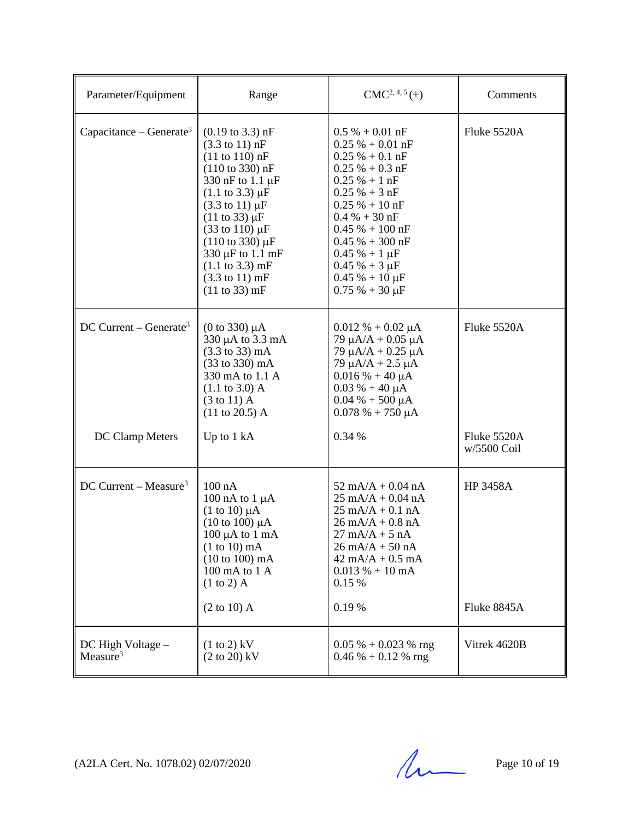| Parameter/Equipment                                   | Range                                                                                                                                                                                                                                                                                                                                                                                                                                                            | $CMC2, 4, 5(\pm)$                                                                                                                                                                                                                                                                                                     | Comments                                  |
|-------------------------------------------------------|------------------------------------------------------------------------------------------------------------------------------------------------------------------------------------------------------------------------------------------------------------------------------------------------------------------------------------------------------------------------------------------------------------------------------------------------------------------|-----------------------------------------------------------------------------------------------------------------------------------------------------------------------------------------------------------------------------------------------------------------------------------------------------------------------|-------------------------------------------|
| Capacitance – Generate <sup>3</sup>                   | $(0.19 \text{ to } 3.3) \text{ nF}$<br>$(3.3 \text{ to } 11) \text{ nF}$<br>$(11 \text{ to } 110) \text{ nF}$<br>$(110 \text{ to } 330) \text{ nF}$<br>330 nF to 1.1 µF<br>$(1.1 \text{ to } 3.3) \mu F$<br>$(3.3 \text{ to } 11) \mu F$<br>$(11 \text{ to } 33) \mu F$<br>$(33 \text{ to } 110) \,\mu\text{F}$<br>$(110 \text{ to } 330) \mu F$<br>330 µF to 1.1 mF<br>$(1.1 \text{ to } 3.3) \text{ mF}$<br>$(3.3 \text{ to } 11) \text{ mF}$<br>(11 to 33) mF | $0.5\% + 0.01$ nF<br>$0.25 \% + 0.01 nF$<br>$0.25 \% + 0.1 nF$<br>$0.25 \% + 0.3 nF$<br>$0.25% + 1nF$<br>$0.25 \% + 3 nF$<br>$0.25 \% + 10 nF$<br>$0.4 % + 30 nF$<br>$0.45% + 100$ nF<br>$0.45% + 300$ nF<br>$0.45 \% + 1 \mu F$<br>$0.45% + 3 \mu F$<br>$0.45% + 10 \mu F$<br>$0.75% + 30 \mu F$                     | Fluke 5520A                               |
| DC Current – Generate <sup>3</sup><br>DC Clamp Meters | (0 to 330) $\mu$ A<br>330 µA to 3.3 mA<br>$(3.3 \text{ to } 33) \text{ mA}$<br>(33 to 330) mA<br>330 mA to 1.1 A<br>$(1.1 \text{ to } 3.0)$ A<br>$(3 \text{ to } 11)$ A<br>$(11 \text{ to } 20.5)$ A<br>Up to 1 kA                                                                                                                                                                                                                                               | $0.012 % + 0.02 \mu A$<br>79 $\mu A/A + 0.05 \mu A$<br>$79 \mu A/A + 0.25 \mu A$<br>$79 \mu A/A + 2.5 \mu A$<br>$0.016\% + 40 \mu A$<br>$0.03 \% + 40 \mu A$<br>$0.04 % + 500 \mu A$<br>$0.078 \% + 750 \mu A$<br>0.34 %                                                                                              | Fluke 5520A<br>Fluke 5520A<br>w/5500 Coil |
| DC Current – Measure <sup>3</sup>                     | $100$ nA<br>100 nA to $1 \mu A$<br>$(1 \text{ to } 10) \mu A$<br>$(10 \text{ to } 100) \mu A$<br>$100 \mu A$ to $1 \mu A$<br>$(1 to 10)$ mA<br>$(10 to 100)$ mA<br>100 mA to 1 A<br>$(1 to 2)$ A<br>$(2 \text{ to } 10)$ A                                                                                                                                                                                                                                       | $52 \text{ mA/A} + 0.04 \text{ nA}$<br>$25 \text{ mA/A} + 0.04 \text{ nA}$<br>$25 \text{ mA/A} + 0.1 \text{ nA}$<br>$26 \text{ mA}/A + 0.8 \text{ nA}$<br>$27 \text{ mA/A} + 5 \text{ nA}$<br>$26 \text{ mA/A} + 50 \text{ nA}$<br>$42 \text{ mA}/A + 0.5 \text{ mA}$<br>$0.013\% + 10 \text{ mA}$<br>0.15 %<br>0.19% | <b>HP 3458A</b><br>Fluke 8845A            |
| DC High Voltage -<br>Measure <sup>3</sup>             | $(1 \text{ to } 2)$ kV<br>$(2 \text{ to } 20)$ kV                                                                                                                                                                                                                                                                                                                                                                                                                | $0.05\% + 0.023\%$ rng<br>$0.46\% + 0.12\%$ rng                                                                                                                                                                                                                                                                       | Vitrek 4620B                              |

 $(A2LA$  Cert. No. 1078.02) 02/07/2020 Page 10 of 19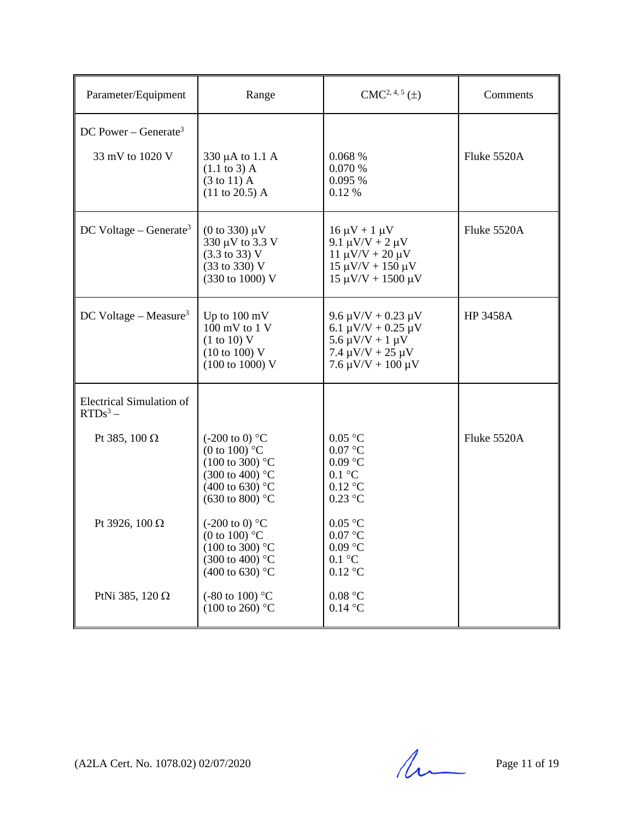| Parameter/Equipment                                 | Range                                                                                                                                                  | $CMC2, 4, 5(\pm)$                                                                                                                              | Comments        |
|-----------------------------------------------------|--------------------------------------------------------------------------------------------------------------------------------------------------------|------------------------------------------------------------------------------------------------------------------------------------------------|-----------------|
| DC Power – Generate <sup>3</sup><br>33 mV to 1020 V | 330 µA to 1.1 A<br>$(1.1 \text{ to } 3)$ A<br>$(3 \text{ to } 11)$ A<br>$(11 \text{ to } 20.5)$ A                                                      | 0.068%<br>0.070 %<br>0.095%<br>0.12 %                                                                                                          | Fluke 5520A     |
| $DC$ Voltage – Generate <sup>3</sup>                | $(0 \text{ to } 330) \mu V$<br>330 µV to 3.3 V<br>$(3.3 \text{ to } 33) \text{ V}$<br>(33 to 330) V<br>(330 to 1000) V                                 | $16 \mu V + 1 \mu V$<br>9.1 μV/V + 2 μV<br>$11 \mu V/V + 20 \mu V$<br>$15 \mu V/V + 150 \mu V$<br>$15 \mu V/V + 1500 \mu V$                    | Fluke 5520A     |
| DC Voltage - Measure <sup>3</sup>                   | Up to $100 \text{ mV}$<br>100 mV to 1 V<br>(1 to 10) V<br>(10 to 100) V<br>$(100 \text{ to } 1000) \text{ V}$                                          | $9.6 \mu V/V + 0.23 \mu V$<br>6.1 $\mu$ V/V + 0.25 $\mu$ V<br>$5.6 \mu V/V + 1 \mu V$<br>$7.4 \mu V/V + 25 \mu V$<br>$7.6 \mu V/V + 100 \mu V$ | <b>HP 3458A</b> |
| <b>Electrical Simulation of</b><br>$RTDs^3$ –       |                                                                                                                                                        |                                                                                                                                                |                 |
| Pt 385, 100 $\Omega$                                | $(-200 \text{ to } 0)$ °C<br>(0 to 100) $^{\circ}$ C<br>$(100 \text{ to } 300)$ °C<br>(300 to 400) °C<br>(400 to 630) °C<br>$(630 \text{ to } 800)$ °C | 0.05 °C<br>$0.07$ °C<br>$0.09$ °C<br>$0.1 \text{ }^{\circ}C$<br>$0.12$ °C<br>$0.23$ °C                                                         | Fluke 5520A     |
| Pt 3926, 100 Ω                                      | $(-200 \text{ to } 0)$ °C<br>(0 to 100) $\mathrm{C}$<br>$(100 \text{ to } 300)$ °C<br>(300 to 400) °C<br>(400 to 630) °C                               | 0.05 °C<br>0.07 °C<br>$0.09$ °C<br>$0.1 \text{ }^{\circ}C$<br>$0.12$ °C                                                                        |                 |
| PtNi 385, 120 $\Omega$                              | $(-80 \text{ to } 100)$ °C<br>$(100 \text{ to } 260)$ °C                                                                                               | 0.08 °C<br>$0.14$ °C                                                                                                                           |                 |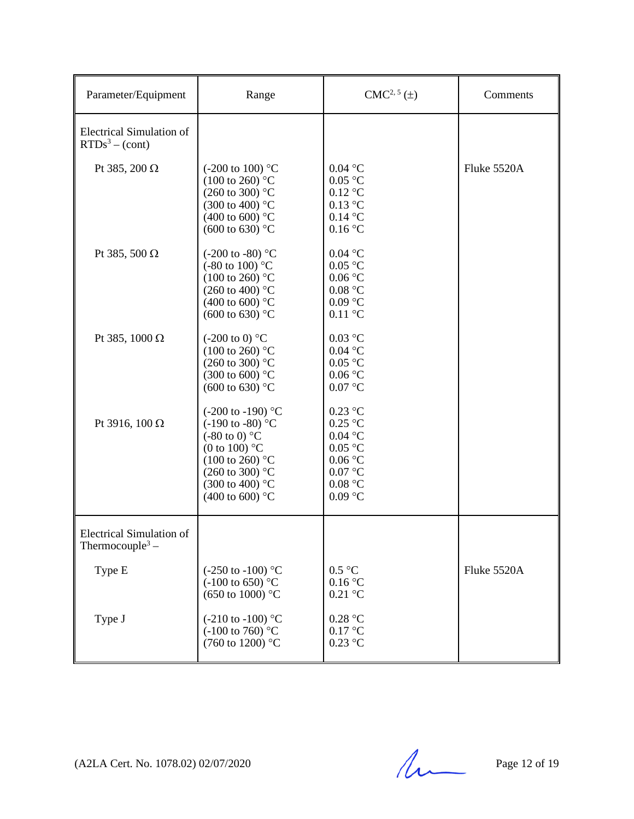| Parameter/Equipment                                            | Range                                                                                                                                                                                                                                     | $CMC2, 5(\pm)$                                                                                             | Comments    |
|----------------------------------------------------------------|-------------------------------------------------------------------------------------------------------------------------------------------------------------------------------------------------------------------------------------------|------------------------------------------------------------------------------------------------------------|-------------|
| <b>Electrical Simulation of</b><br>$RTDs3 - (cont)$            |                                                                                                                                                                                                                                           |                                                                                                            |             |
| Pt 385, 200 Ω                                                  | $(-200 \text{ to } 100)$ °C<br>$(100 \text{ to } 260)$ °C<br>$(260 \text{ to } 300)$ °C<br>$(300 \text{ to } 400)$ °C<br>(400 to 600) $^{\circ}$ C<br>$(600 \text{ to } 630)$ °C                                                          | $0.04$ °C<br>$0.05\ ^{\circ}\textrm{C}$<br>$0.12$ °C<br>$0.13$ °C<br>$0.14$ °C<br>0.16 °C                  | Fluke 5520A |
| Pt 385, 500 $\Omega$                                           | $(-200 \text{ to } -80)$ °C<br>$(-80 \text{ to } 100)$ °C<br>$(100 \text{ to } 260)$ °C<br>(260 to 400) $^{\circ}$ C<br>(400 to 600) $^{\circ}$ C<br>$(600 \text{ to } 630)$ °C                                                           | $0.04$ °C<br>$0.05$ °C<br>$0.06\,^{\circ}\mathrm{C}$<br>0.08 °C<br>$0.09\ ^{\circ}\textrm{C}$<br>$0.11$ °C |             |
| Pt 385, 1000 Ω                                                 | $(-200 \text{ to } 0)$ °C<br>$(100 \text{ to } 260)$ °C<br>$(260 \text{ to } 300)$ °C<br>$(300 \text{ to } 600)$ °C<br>$(600 \text{ to } 630)$ °C                                                                                         | $0.03$ °C<br>$0.04$ °C<br>$0.05\ ^{\circ}\textrm{C}$<br>$0.06\,^{\circ}\mathrm{C}$<br>$0.07$ °C            |             |
| Pt 3916, 100 Ω                                                 | $(-200 \text{ to } -190)$ °C<br>$(-190 \text{ to } -80)$ °C<br>$(-80 \text{ to } 0)$ °C<br>(0 to 100) $^{\circ}$ C<br>$(100 \text{ to } 260)$ °C<br>$(260 \text{ to } 300)$ °C<br>$(300 \text{ to } 400)$ °C<br>(400 to 600) $^{\circ}$ C | $0.23$ °C<br>$0.25$ °C<br>$0.04$ °C<br>$0.05$ °C<br>0.06 °C<br>0.07 °C<br>0.08 °C<br>$0.09$ °C             |             |
| <b>Electrical Simulation of</b><br>Thermocouple <sup>3</sup> – |                                                                                                                                                                                                                                           |                                                                                                            |             |
| Type E                                                         | $(-250 \text{ to } -100)$ °C<br>$(-100 \text{ to } 650)$ °C<br>(650 to 1000) °C                                                                                                                                                           | 0.5 °C<br>0.16 °C<br>$0.21$ °C                                                                             | Fluke 5520A |
| Type J                                                         | $(-210 \text{ to } -100)$ °C<br>$(-100 \text{ to } 760)$ °C<br>(760 to 1200) °C                                                                                                                                                           | 0.28 °C<br>0.17 °C<br>$0.23$ °C                                                                            |             |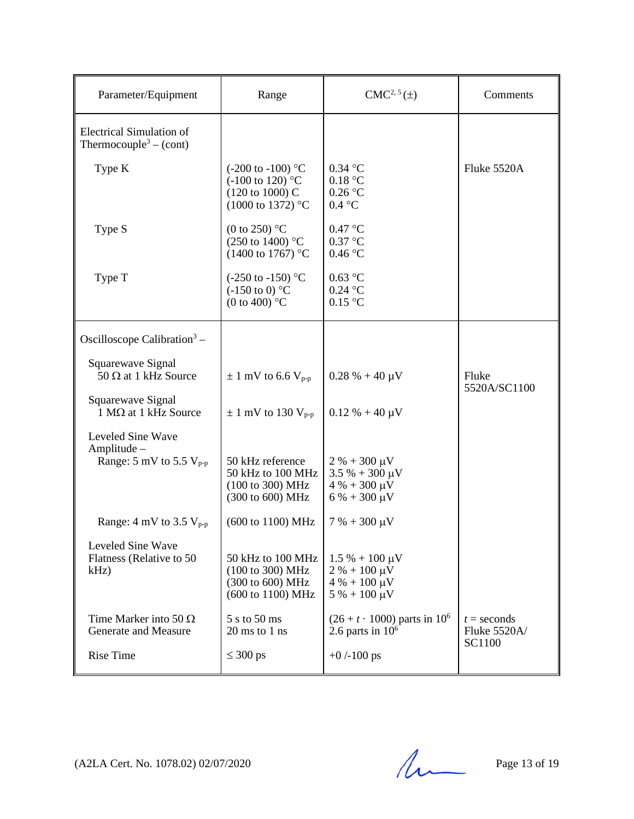| Parameter/Equipment                                                   | Range                                                                                                          | $CMC2, 5(\pm)$                                                                               | Comments                                       |
|-----------------------------------------------------------------------|----------------------------------------------------------------------------------------------------------------|----------------------------------------------------------------------------------------------|------------------------------------------------|
| <b>Electrical Simulation of</b><br>Thermocouple <sup>3</sup> – (cont) |                                                                                                                |                                                                                              |                                                |
| Type K                                                                | $(-200 \text{ to } -100)$ °C<br>$(-100 \text{ to } 120)$ °C<br>(120 to 1000) C<br>$(1000 \text{ to } 1372)$ °C | $0.34$ °C<br>0.18 °C<br>0.26 °C<br>0.4 °C                                                    | Fluke 5520A                                    |
| Type S                                                                | (0 to 250) $^{\circ}$ C<br>$(250 \text{ to } 1400)$ °C<br>$(1400 \text{ to } 1767)$ °C                         | 0.47 °C<br>$0.37$ °C<br>0.46 °C                                                              |                                                |
| Type T                                                                | $(-250 \text{ to } -150)$ °C<br>$(-150 \text{ to } 0)$ °C<br>(0 to 400) $^{\circ}$ C                           | $0.63$ °C<br>$0.24$ °C<br>0.15 °C                                                            |                                                |
| Oscilloscope Calibration <sup>3</sup> –                               |                                                                                                                |                                                                                              |                                                |
| Squarewave Signal<br>$50 \Omega$ at 1 kHz Source                      | $\pm$ 1 mV to 6.6 V <sub>p-p</sub>                                                                             | $0.28 \% + 40 \mu V$                                                                         | Fluke<br>5520A/SC1100                          |
| Squarewave Signal<br>$1 M\Omega$ at 1 kHz Source                      | $\pm$ 1 mV to 130 V <sub>p-p</sub>                                                                             | $0.12 \% + 40 \mu V$                                                                         |                                                |
| Leveled Sine Wave<br>Amplitude -<br>Range: 5 mV to 5.5 $V_{p-p}$      | 50 kHz reference<br>50 kHz to 100 MHz<br>(100 to 300) MHz<br>(300 to 600) MHz                                  | $2 \% + 300 \mu V$<br>$3.5% + 300 \mu V$<br>$4\% + 300 \,\mu V$<br>$6\% + 300 \,\mu V$       |                                                |
| Range: $4 \text{ mV}$ to $3.5 \text{ V}_{p-p}$                        | (600 to 1100) MHz                                                                                              | $7% + 300 \mu V$                                                                             |                                                |
| Leveled Sine Wave<br>Flatness (Relative to 50<br>$kHz$ )              | 50 kHz to 100 MHz<br>(100 to 300) MHz<br>(300 to 600) MHz<br>(600 to 1100) MHz                                 | $1.5\% + 100 \,\mu\text{V}$<br>$2 \% + 100 \mu V$<br>$4\% + 100 \,\mu V$<br>$5% + 100 \mu V$ |                                                |
| Time Marker into 50 $\Omega$<br>Generate and Measure                  | 5 s to 50 ms<br>$20 \text{ ms}$ to $1 \text{ ns}$                                                              | $(26 + t \cdot 1000)$ parts in 10 <sup>6</sup><br>2.6 parts in $106$                         | $t =$ seconds<br>Fluke 5520A/<br><b>SC1100</b> |
| <b>Rise Time</b>                                                      | $\leq 300 \text{ ps}$                                                                                          | $+0$ /-100 ps                                                                                |                                                |

(A2LA Cert. No. 1078.02) 02/07/2020 Page 13 of 19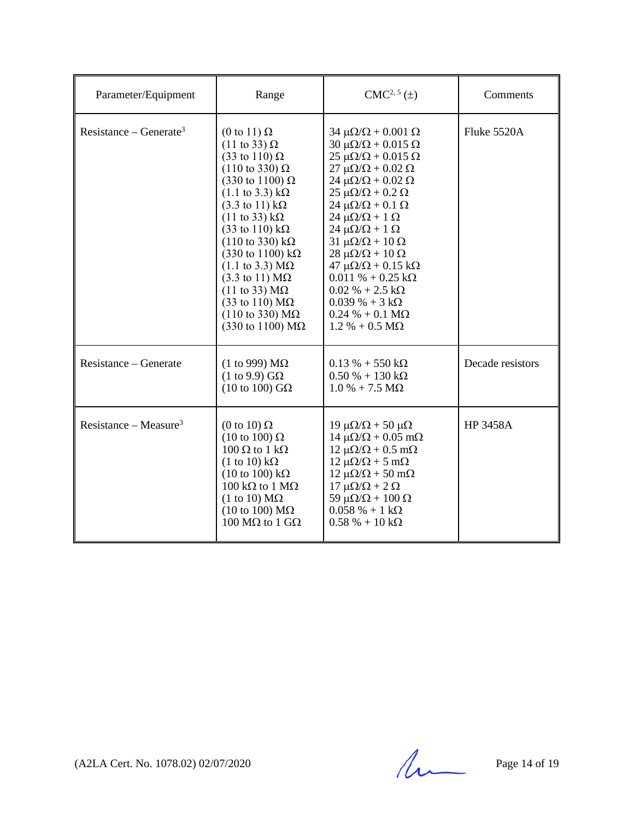| Parameter/Equipment                | Range                                                                                                                                                                                                                                                                                                                                                                                                                                                                                                                                                                                                                                                                      | $CMC2, 5(\pm)$                                                                                                                                                                                                                                                                                                                                                                                                                                                                                                                                                                                                                      | Comments         |
|------------------------------------|----------------------------------------------------------------------------------------------------------------------------------------------------------------------------------------------------------------------------------------------------------------------------------------------------------------------------------------------------------------------------------------------------------------------------------------------------------------------------------------------------------------------------------------------------------------------------------------------------------------------------------------------------------------------------|-------------------------------------------------------------------------------------------------------------------------------------------------------------------------------------------------------------------------------------------------------------------------------------------------------------------------------------------------------------------------------------------------------------------------------------------------------------------------------------------------------------------------------------------------------------------------------------------------------------------------------------|------------------|
| Resistance – Generate <sup>3</sup> | $(0 \text{ to } 11) \Omega$<br>$(11 \text{ to } 33) \Omega$<br>$(33 \text{ to } 110) \Omega$<br>$(110 \text{ to } 330) \Omega$<br>$(330 \text{ to } 1100) \Omega$<br>$(1.1 \text{ to } 3.3) \text{ k}\Omega$<br>$(3.3 \text{ to } 11) \text{ k}\Omega$<br>$(11 \text{ to } 33) \text{ k}\Omega$<br>$(33 \text{ to } 110) \text{ k}\Omega$<br>$(110 \text{ to } 330) \text{ k}\Omega$<br>$(330)$ to 1100) kΩ<br>$(1.1 \text{ to } 3.3) \text{ M}\Omega$<br>$(3.3 \text{ to } 11) \text{ M}\Omega$<br>$(11 \text{ to } 33) \text{ M}\Omega$<br>$(33 \text{ to } 110) \text{ M}\Omega$<br>$(110 \text{ to } 330) \text{ M}\Omega$<br>$(330 \text{ to } 1100) \text{ M}\Omega$ | $34 \mu\Omega/\Omega + 0.001 \Omega$<br>$30 \mu\Omega/\Omega + 0.015 \Omega$<br>$25 \mu\Omega/\Omega + 0.015 \Omega$<br>$27 \mu\Omega/\Omega + 0.02 \Omega$<br>$24 \mu\Omega/\Omega + 0.02 \Omega$<br>$25 \mu\Omega/\Omega + 0.2 \Omega$<br>$24 \mu\Omega/\Omega + 0.1 \Omega$<br>$24 \mu\Omega/\Omega + 1 \Omega$<br>$24 \mu\Omega/\Omega + 1 \Omega$<br>$31 \mu\Omega/\Omega + 10 \Omega$<br>$28 \mu\Omega/\Omega + 10 \Omega$<br>$47 \mu\Omega/\Omega + 0.15 \text{ k}\Omega$<br>$0.011 \% + 0.25 k\Omega$<br>$0.02\% + 2.5 \text{ k}\Omega$<br>$0.039\% + 3 k\Omega$<br>$0.24 % + 0.1 M\Omega$<br>$1.2\% + 0.5 \text{ M}\Omega$ | Fluke 5520A      |
| Resistance – Generate              | (1 to 999) $\text{M}\Omega$<br>$(1 \text{ to } 9.9)$ GQ<br>(10 to 100) $G\Omega$                                                                                                                                                                                                                                                                                                                                                                                                                                                                                                                                                                                           | $0.13 \% + 550 k\Omega$<br>$0.50\% + 130\,\mathrm{k}\Omega$<br>$1.0\% + 7.5\ M\Omega$                                                                                                                                                                                                                                                                                                                                                                                                                                                                                                                                               | Decade resistors |
| Resistance – Measure <sup>3</sup>  | (0 to 10) $\Omega$<br>$(10 \text{ to } 100) \Omega$<br>$100 \Omega$ to $1 \text{ k}\Omega$<br>$(1 \text{ to } 10) \text{ k}\Omega$<br>$(10 \text{ to } 100) \text{ k}\Omega$<br>$100 \text{ k}\Omega$ to $1 \text{ M}\Omega$<br>$(1 \text{ to } 10) \text{ M}\Omega$<br>$(10 \text{ to } 100) \text{ M}\Omega$<br>100 MΩ to 1 GΩ                                                                                                                                                                                                                                                                                                                                           | 19 μ $\Omega/\Omega$ + 50 μ $\Omega$<br>$14 \mu\Omega/\Omega + 0.05 \text{ m}\Omega$<br>$12 \mu\Omega/\Omega + 0.5 \text{ mA}$<br>$12 \mu\Omega/\Omega + 5 \mu\Omega$<br>$12 \mu\Omega/\Omega + 50 \text{ mA}$<br>$17 \mu\Omega/\Omega + 2 \Omega$<br>59 μ $\Omega/\Omega$ + 100 Ω<br>$0.058 \% + 1 k\Omega$<br>$0.58 \% + 10 k\Omega$                                                                                                                                                                                                                                                                                              | <b>HP 3458A</b>  |

 $(A2LA$  Cert. No. 1078.02) 02/07/2020 Page 14 of 19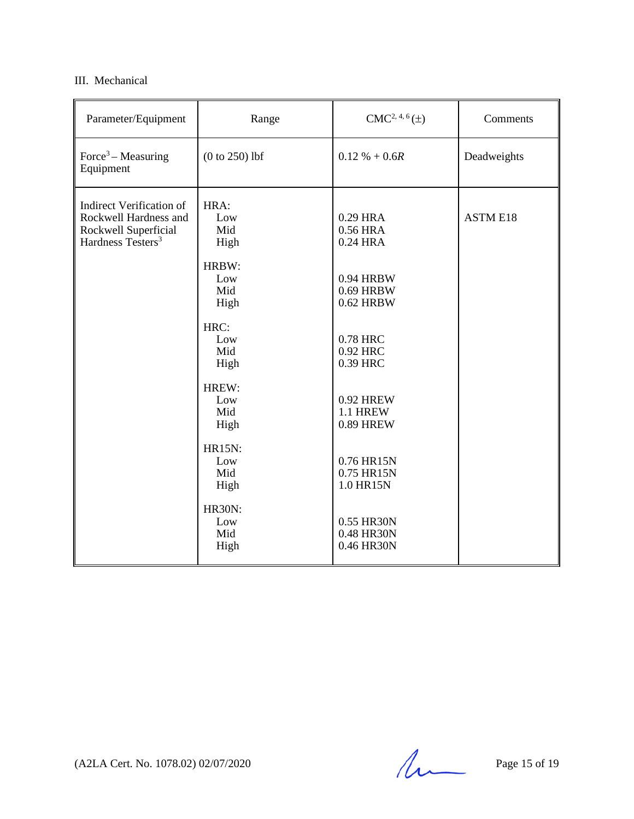## III. Mechanical

| Parameter/Equipment                                                                                               | Range                                                                                                                                                                                 | $CMC2, 4, 6(\pm)$                                                                                                                                                                                                      | Comments        |
|-------------------------------------------------------------------------------------------------------------------|---------------------------------------------------------------------------------------------------------------------------------------------------------------------------------------|------------------------------------------------------------------------------------------------------------------------------------------------------------------------------------------------------------------------|-----------------|
| Force <sup>3</sup> – Measuring<br>Equipment                                                                       | $(0 to 250)$ lbf                                                                                                                                                                      | $0.12 \% + 0.6R$                                                                                                                                                                                                       | Deadweights     |
| <b>Indirect Verification of</b><br>Rockwell Hardness and<br>Rockwell Superficial<br>Hardness Testers <sup>3</sup> | HRA:<br>Low<br>Mid<br>High<br>HRBW:<br>Low<br>Mid<br>High<br>HRC:<br>Low<br>Mid<br>High<br>HREW:<br>Low<br>Mid<br>High<br><b>HR15N:</b><br>Low<br>Mid<br>High<br><b>HR30N:</b><br>Low | 0.29 HRA<br>0.56 HRA<br>0.24 HRA<br>0.94 HRBW<br>0.69 HRBW<br>0.62 HRBW<br>0.78 HRC<br>0.92 HRC<br>0.39 HRC<br>0.92 HREW<br><b>1.1 HREW</b><br><b>0.89 HREW</b><br>0.76 HR15N<br>0.75 HR15N<br>1.0 HR15N<br>0.55 HR30N | <b>ASTM E18</b> |
|                                                                                                                   | Mid<br>High                                                                                                                                                                           | 0.48 HR30N<br>0.46 HR30N                                                                                                                                                                                               |                 |

(A2LA Cert. No. 1078.02) 02/07/2020 Page 15 of 19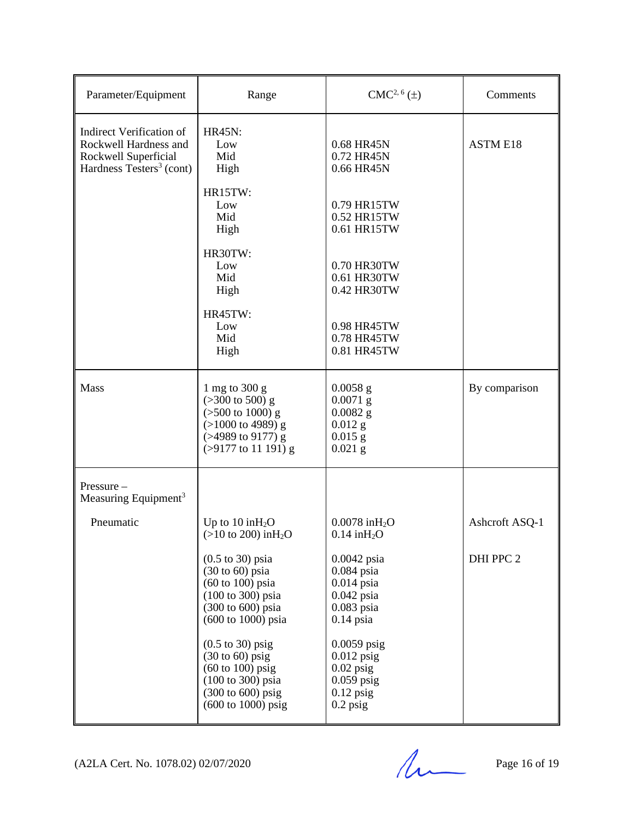| Parameter/Equipment                                                                                                      | Range                                                                                                                                                                                                             | $CMC2, 6(\pm)$                                                                               | Comments        |
|--------------------------------------------------------------------------------------------------------------------------|-------------------------------------------------------------------------------------------------------------------------------------------------------------------------------------------------------------------|----------------------------------------------------------------------------------------------|-----------------|
| <b>Indirect Verification of</b><br>Rockwell Hardness and<br>Rockwell Superficial<br>Hardness Testers <sup>3</sup> (cont) | <b>HR45N:</b><br>Low<br>Mid<br>High                                                                                                                                                                               | 0.68 HR45N<br>0.72 HR45N<br>0.66 HR45N                                                       | <b>ASTM E18</b> |
|                                                                                                                          | HR15TW:<br>Low<br>Mid<br>High                                                                                                                                                                                     | 0.79 HR15TW<br>0.52 HR15TW<br>0.61 HR15TW                                                    |                 |
|                                                                                                                          | HR30TW:<br>Low<br>Mid<br>High                                                                                                                                                                                     | 0.70 HR30TW<br>0.61 HR30TW<br>0.42 HR30TW                                                    |                 |
|                                                                                                                          | HR45TW:<br>Low<br>Mid<br>High                                                                                                                                                                                     | 0.98 HR45TW<br>0.78 HR45TW<br>0.81 HR45TW                                                    |                 |
| Mass                                                                                                                     | 1 mg to 300 g<br>$(>300 \text{ to } 500) \text{ g}$<br>$($ >500 to 1000) g<br>$(>1000$ to 4989) g<br>(>4989 to 9177) g<br>$( > 9177$ to 11 191) g                                                                 | $0.0058$ g<br>$0.0071$ g<br>$0.0082$ g<br>$0.012$ g<br>$0.015$ g<br>$0.021$ g                | By comparison   |
| Pressure-<br>Measuring Equipment <sup>3</sup>                                                                            |                                                                                                                                                                                                                   |                                                                                              |                 |
| Pneumatic                                                                                                                | Up to $10$ in $H_2O$<br>$(>10 \text{ to } 200) \text{ in}H_2O$                                                                                                                                                    | $0.0078$ in $H_2O$<br>$0.14$ in $H_2O$                                                       | Ashcroft ASQ-1  |
|                                                                                                                          | $(0.5 \text{ to } 30) \text{ psia}$<br>$(30 \text{ to } 60)$ psia<br>$(60 \text{ to } 100) \text{ psia}$<br>$(100 \text{ to } 300) \text{ psia}$<br>$(300 \text{ to } 600) \text{ psia}$<br>(600 to 1000) psia    | $0.0042$ psia<br>$0.084$ psia<br>$0.014$ psia<br>$0.042$ psia<br>$0.083$ psia<br>$0.14$ psia | DHI PPC 2       |
|                                                                                                                          | $(0.5 \text{ to } 30)$ psig<br>$(30 \text{ to } 60)$ psig<br>$(60 \text{ to } 100)$ psig<br>$(100 \text{ to } 300) \text{ psia}$<br>$(300 \text{ to } 600) \text{ psig}$<br>$(600 \text{ to } 1000) \text{ psig}$ | $0.0059$ psig<br>$0.012$ psig<br>$0.02$ psig<br>$0.059$ psig<br>$0.12$ psig<br>$0.2$ psig    |                 |

(A2LA Cert. No. 1078.02) 02/07/2020 Page 16 of 19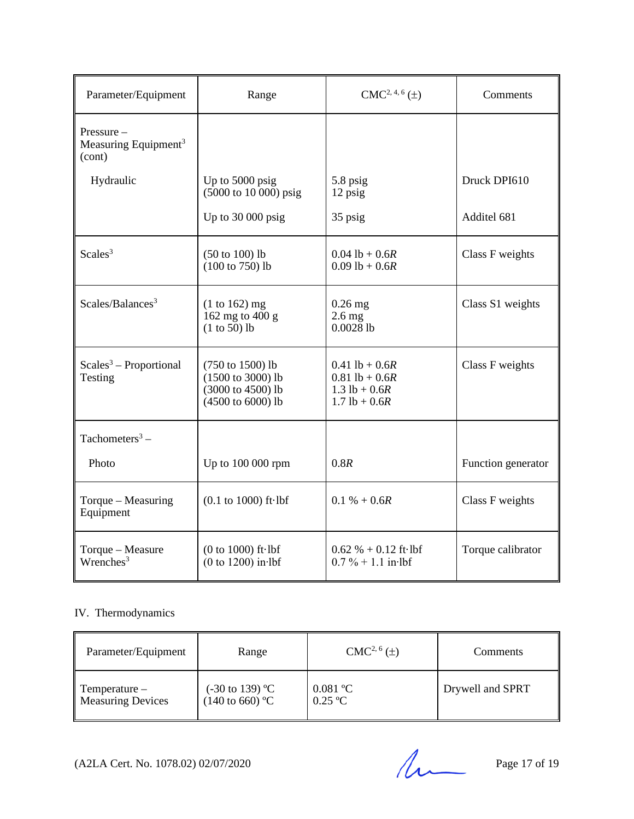| Parameter/Equipment                                     | Range                                                                                      | $CMC2, 4, 6(\pm)$                                                              | Comments           |
|---------------------------------------------------------|--------------------------------------------------------------------------------------------|--------------------------------------------------------------------------------|--------------------|
| Pressure-<br>Measuring Equipment <sup>3</sup><br>(cont) |                                                                                            |                                                                                |                    |
| Hydraulic                                               | Up to 5000 psig<br>$(5000 \text{ to } 10\,000) \text{ psig}$                               | 5.8 psig<br>12 psig                                                            | Druck DPI610       |
|                                                         | Up to $30000$ psig                                                                         | 35 psig                                                                        | Additel 681        |
| Scales <sup>3</sup>                                     | $(50 \text{ to } 100)$ lb<br>$(100 \text{ to } 750)$ lb                                    | $0.04$ lb + $0.6R$<br>$0.09$ lb + $0.6R$                                       | Class F weights    |
| Scales/Balances <sup>3</sup>                            | $(1 to 162)$ mg<br>162 mg to $400 g$<br>$(1 to 50)$ lb                                     | $0.26$ mg<br>$2.6$ mg<br>$0.0028$ <sub>lb</sub>                                | Class S1 weights   |
| $Scales3 - Proportional$<br>Testing                     | (750 to 1500) lb<br>$(1500 \text{ to } 3000)$ lb<br>(3000 to 4500) lb<br>(4500 to 6000) lb | $0.41$ lb + $0.6R$<br>$0.81$ lb + $0.6R$<br>$1.3$ lb + 0.6R<br>$1.7$ lb + 0.6R | Class F weights    |
| Tachometers <sup>3</sup> –                              |                                                                                            |                                                                                |                    |
| Photo                                                   | Up to 100 000 rpm                                                                          | 0.8R                                                                           | Function generator |
| Torque - Measuring<br>Equipment                         | $(0.1 \text{ to } 1000) \text{ ft·lbf}$                                                    | $0.1 \% + 0.6R$                                                                | Class F weights    |
| Torque - Measure<br>$W$ renches <sup>3</sup>            | $(0 to 1000)$ ft $\cdot$ lbf<br>$(0 to 1200)$ in lbf                                       | $0.62 \% + 0.12$ ft lbf<br>$0.7\% + 1.1$ in lbf                                | Torque calibrator  |

# IV. Thermodynamics

| Parameter/Equipment       | Range                      | $CMC2, 6(\pm)$ | Comments         |
|---------------------------|----------------------------|----------------|------------------|
| $\parallel$ Temperature – | $(-30 \text{ to } 139)$ °C | $0.081$ °C     | Drywell and SPRT |
| <b>Measuring Devices</b>  | $(140 \text{ to } 660)$ °C | $0.25$ °C      |                  |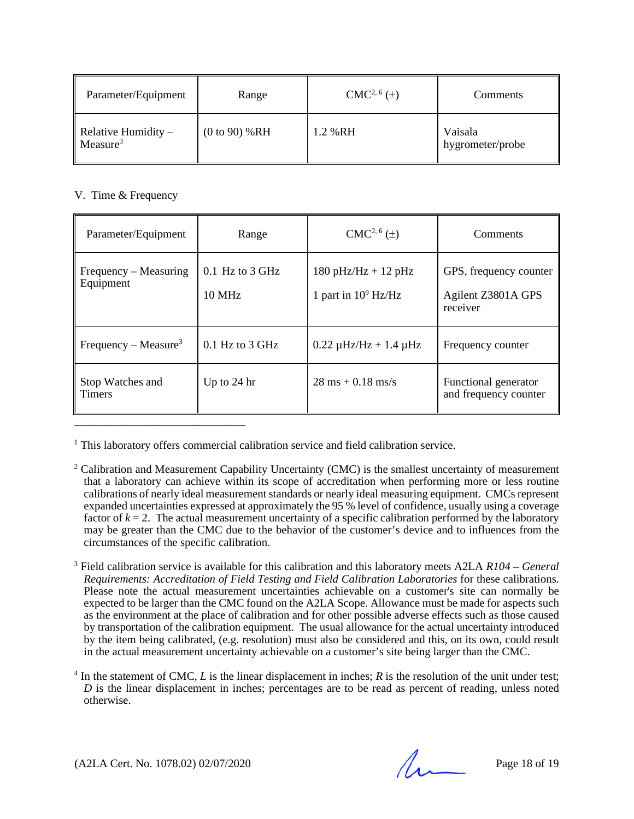| Parameter/Equipment                           | Range          | $CMC2, 6(\pm)$ | <b>Comments</b>             |
|-----------------------------------------------|----------------|----------------|-----------------------------|
| Relative Humidity $-$<br>Measure <sup>3</sup> | (0 to 90) % RH | 1.2 % RH       | Vaisala<br>hygrometer/probe |

## V. Time & Frequency

| Parameter/Equipment                | Range                              | $CMC2, 6(\pm)$                                    | Comments                                                 |
|------------------------------------|------------------------------------|---------------------------------------------------|----------------------------------------------------------|
| Frequency – Measuring<br>Equipment | $0.1$ Hz to 3 GHz<br><b>10 MHz</b> | $180$ pHz/Hz + $12$ pHz<br>1 part in $10^9$ Hz/Hz | GPS, frequency counter<br>Agilent Z3801A GPS<br>receiver |
| Frequency – Measure <sup>3</sup>   | $0.1$ Hz to 3 GHz                  | $0.22 \mu$ Hz/Hz + 1.4 $\mu$ Hz                   | Frequency counter                                        |
| Stop Watches and<br><b>Timers</b>  | Up to $24 \text{ hr}$              | $28 \text{ ms} + 0.18 \text{ ms/s}$               | Functional generator<br>and frequency counter            |

<sup>1</sup> This laboratory offers commercial calibration service and field calibration service.

<sup>2</sup> Calibration and Measurement Capability Uncertainty (CMC) is the smallest uncertainty of measurement that a laboratory can achieve within its scope of accreditation when performing more or less routine calibrations of nearly ideal measurement standards or nearly ideal measuring equipment. CMCs represent expanded uncertainties expressed at approximately the 95 % level of confidence, usually using a coverage factor of  $k = 2$ . The actual measurement uncertainty of a specific calibration performed by the laboratory may be greater than the CMC due to the behavior of the customer's device and to influences from the circumstances of the specific calibration.

<sup>3</sup> Field calibration service is available for this calibration and this laboratory meets A2LA *R104 – General Requirements: Accreditation of Field Testing and Field Calibration Laboratories* for these calibrations. Please note the actual measurement uncertainties achievable on a customer's site can normally be expected to be larger than the CMC found on the A2LA Scope. Allowance must be made for aspects such as the environment at the place of calibration and for other possible adverse effects such as those caused by transportation of the calibration equipment. The usual allowance for the actual uncertainty introduced by the item being calibrated, (e.g. resolution) must also be considered and this, on its own, could result in the actual measurement uncertainty achievable on a customer's site being larger than the CMC.

 $4 \text{ In the statement of CMC, } L \text{ is the linear displacement in inches; } R \text{ is the resolution of the unit under test; }$ *D* is the linear displacement in inches; percentages are to be read as percent of reading, unless noted otherwise.

(A2LA Cert. No. 1078.02) 02/07/2020 Page 18 of 19

\_\_\_\_\_\_\_\_\_\_\_\_\_\_\_\_\_\_\_\_\_\_\_\_\_\_\_\_\_\_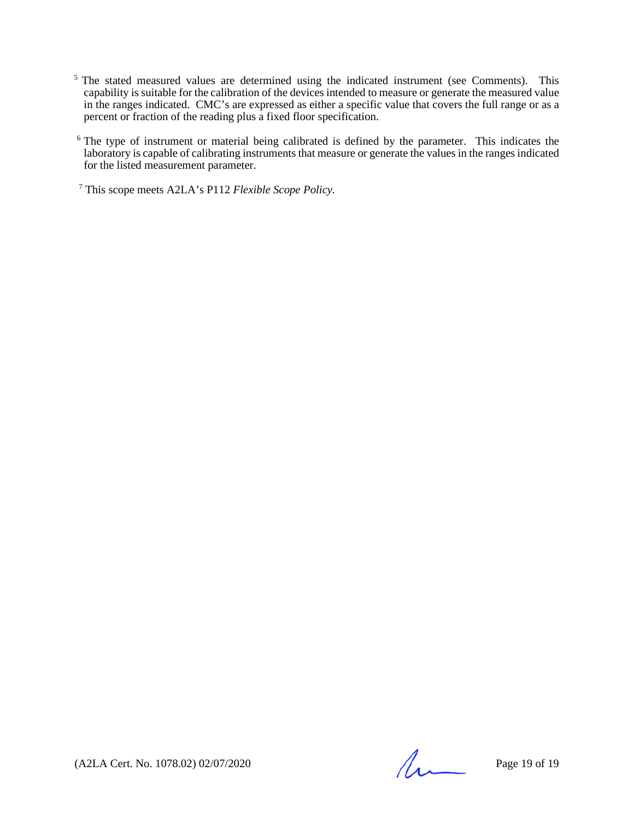- <sup>5</sup> The stated measured values are determined using the indicated instrument (see Comments). This capability is suitable for the calibration of the devices intended to measure or generate the measured value in the ranges indicated. CMC's are expressed as either a specific value that covers the full range or as a percent or fraction of the reading plus a fixed floor specification.
- <sup>6</sup> The type of instrument or material being calibrated is defined by the parameter. This indicates the laboratory is capable of calibrating instruments that measure or generate the values in the ranges indicated for the listed measurement parameter.

<sup>7</sup> This scope meets A2LA's P112 *Flexible Scope Policy.*

(A2LA Cert. No. 1078.02) 02/07/2020 Page 19 of 19